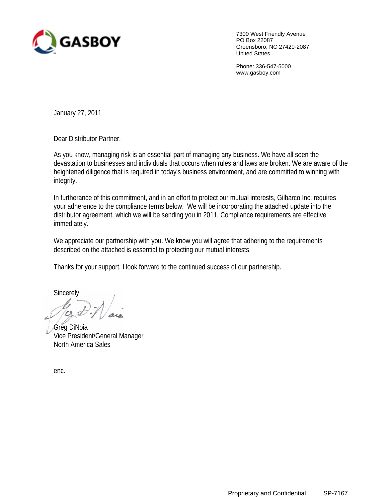

7300 West Friendly Avenue PO Box 22087 Greensboro, NC 27420-2087 United States

Phone: 336-547-5000 www.gasboy.com

January 27, 2011

Dear Distributor Partner,

As you know, managing risk is an essential part of managing any business. We have all seen the devastation to businesses and individuals that occurs when rules and laws are broken. We are aware of the heightened diligence that is required in today's business environment, and are committed to winning with integrity.

In furtherance of this commitment, and in an effort to protect our mutual interests, Gilbarco Inc. requires your adherence to the compliance terms below. We will be incorporating the attached update into the distributor agreement, which we will be sending you in 2011. Compliance requirements are effective immediately.

We appreciate our partnership with you. We know you will agree that adhering to the requirements described on the attached is essential to protecting our mutual interests.

Thanks for your support. I look forward to the continued success of our partnership.

Sincerely,

Greg DiNoia Vice President/General Manager North America Sales

enc.